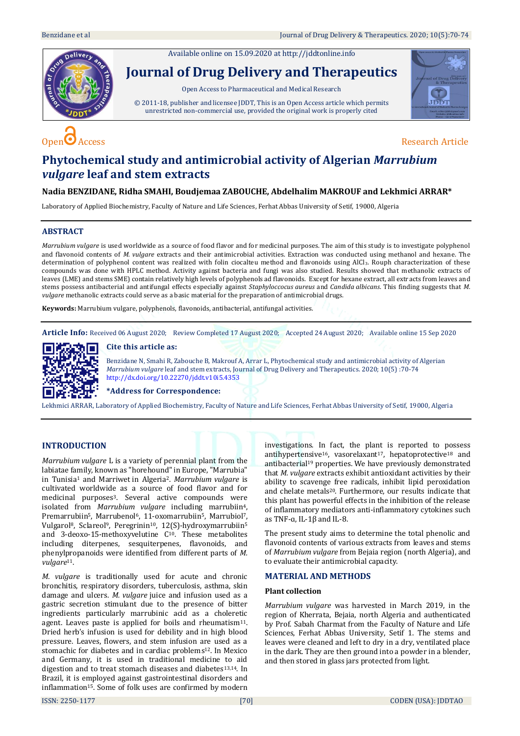Available online on 15.09.2020 a[t http://jddtonline.info](http://jddtonline.info/) **Journal of Drug Delivery and Therapeutics** Open Access to Pharmaceutical and Medical Research © 2011-18, publisher and licensee JDDT, This is an Open Access article which permits unrestricted non-commercial use, provided the original work is properly cited



# $\overline{O}$  Access Research Article

# **Phytochemical study and antimicrobial activity of Algerian** *Marrubium vulgare* **leaf and stem extracts**

# **Nadia BENZIDANE, Ridha SMAHI, Boudjemaa ZABOUCHE, Abdelhalim MAKROUF and Lekhmici ARRAR\***

Laboratory of Applied Biochemistry, Faculty of Nature and Life Sciences, Ferhat Abbas University of Setif, 19000, Algeria

# **ABSTRACT**

*Marrubium vulgare* is used worldwide as a source of food flavor and for medicinal purposes. The aim of this study is to investigate polyphenol and flavonoid contents of *M. vulgare* extracts and their antimicrobial activities. Extraction was conducted using methanol and hexane. The determination of polyphenol content was realized with folin ciocalteu method and flavonoids using AlCl<sub>3</sub>. Rouph characterization of these compounds was done with HPLC method. Activity against bacteria and fungi was also studied. Results showed that methanolic extracts of leaves (LME) and stems SME) contain relatively high levels of polyphenols ad flavonoids. Except for hexane extract, all extracts from leaves and stems possess antibacterial and antifungal effects especially against *Staphyloccocus aureus* and *Candida albicans*. This finding suggests that *M. vulgare* methanolic extracts could serve as a basic material for the preparation of antimicrobial drugs.

**Keywords:** Marrubium vulgare, polyphenols, flavonoids, antibacterial, antifungal activities.

**Article Info:** Received 06 August 2020; Review Completed 17 August 2020; Accepted 24 August 2020; Available online 15 Sep 2020

## **Cite this article as:**



Benzidane N, Smahi R, Zabouche B, Makrouf A, Arrar L, Phytochemical study and antimicrobial activity of Algerian *Marrubium vulgare* leaf and stem extracts, Journal of Drug Delivery and Therapeutics. 2020; 10(5) :70-74 <http://dx.doi.org/10.22270/jddt.v10i5.4353>

#### **\*Address for Correspondence:**

Lekhmici ARRAR, Laboratory of Applied Biochemistry, Faculty of Nature and Life Sciences, Ferhat Abbas University of Setif, 19000, Algeria

### **INTRODUCTION**

*Marrubium vulgare* L is a variety of perennial plant from the labiatae family, known as "horehound" in Europe, "Marrubia" in Tunisia<sup>1</sup> and Marriwet in Algeria2. *Marrubium vulgare* is cultivated worldwide as a source of food flavor and for medicinal purposes3. Several active compounds were isolated from *Marrubium vulgare* including marrubiin4, Premarrubiin<sup>5</sup>, Marrubenol<sup>6</sup>, 11-oxomarrubiin<sup>5</sup>, Marrubiol<sup>7</sup>, Vulgarol<sup>8</sup>, Sclareol<sup>9</sup>, Peregrinin<sup>10</sup>, 12(S)-hydroxymarrubiin<sup>5</sup> and 3-deoxo-15-methoxyvelutine C10. These metabolites including diterpenes, sesquiterpenes, flavonoids, and phenylpropanoids were identified from different parts of *M. vulgare*11.

*M. vulgare* is traditionally used for acute and chronic bronchitis, respiratory disorders, tuberculosis, asthma, skin damage and ulcers. *M. vulgare* juice and infusion used as a gastric secretion stimulant due to the presence of bitter ingredients particularly marrubinic acid as a choleretic agent. Leaves paste is applied for boils and rheumatism<sup>11</sup>. Dried herb's infusion is used for debility and in high blood pressure. Leaves, flowers, and stem infusion are used as a stomachic for diabetes and in cardiac problems<sup>12</sup>. In Mexico and Germany, it is used in traditional medicine to aid digestion and to treat stomach diseases and diabetes<sup>13,14</sup>. In Brazil, it is employed against gastrointestinal disorders and inflammation<sup>15</sup>. Some of folk uses are confirmed by modern

investigations. In fact, the plant is reported to possess antihypertensive<sup>16</sup>, vasorelaxant<sup>17</sup>, hepatoprotective<sup>18</sup> and antibacterial<sup>19</sup> properties. We have previously demonstrated that *M. vulgare* extracts exhibit antioxidant activities by their ability to scavenge free radicals, inhibit lipid peroxidation and chelate metals<sup>20</sup>. Furthermore, our results indicate that this plant has powerful effects in the inhibition of the release of inflammatory mediators anti-inflammatory cytokines such as TNF-ɑ, IL-1β and IL-8.

The present study aims to determine the total phenolic and flavonoid contents of various extracts from leaves and stems of *Marrubium vulgare* from Bejaia region (north Algeria), and to evaluate their antimicrobial capacity.

#### **MATERIAL AND METHODS**

#### **Plant collection**

*Marrubium vulgare* was harvested in March 2019, in the region of Kherrata, Bejaia, north Algeria and authenticated by Prof. Sabah Charmat from the Faculty of Nature and Life Sciences, Ferhat Abbas University, Setif 1. The stems and leaves were cleaned and left to dry in a dry, ventilated place in the dark. They are then ground into a powder in a blender, and then stored in glass jars protected from light.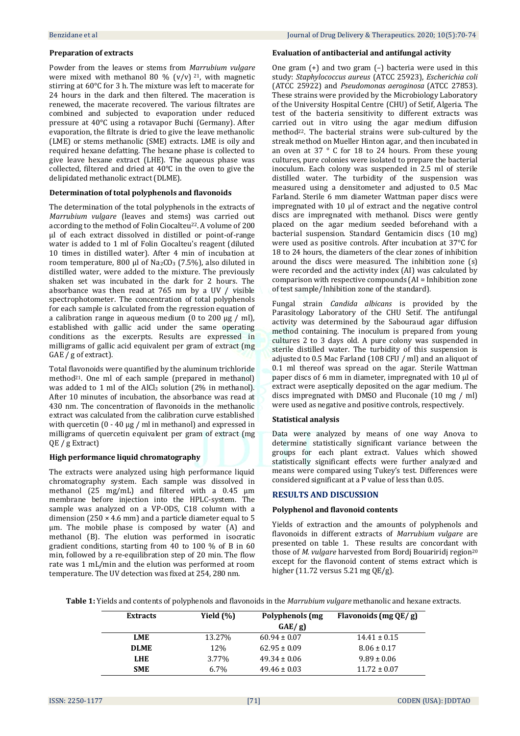#### **Preparation of extracts**

Powder from the leaves or stems from *Marrubium vulgare* were mixed with methanol 80 %  $(v/v)$  <sup>21</sup>, with magnetic stirring at 60°C for 3 h. The mixture was left to macerate for 24 hours in the dark and then filtered. The maceration is renewed, the macerate recovered. The various filtrates are combined and subjected to evaporation under reduced pressure at 40°C using a rotavapor Buchi (Germany). After evaporation, the filtrate is dried to give the leave methanolic (LME) or stems methanolic (SME) extracts. LME is oily and required hexane defatting. The hexane phase is collected to give leave hexane extract (LHE). The aqueous phase was collected, filtered and dried at 40°C in the oven to give the delipidated methanolic extract (DLME).

#### **Determination of total polyphenols and flavonoids**

The determination of the total polyphenols in the extracts of *Marrubium vulgare* (leaves and stems) was carried out according to the method of Folin Ciocalteu<sup>22</sup>. A volume of 200 μl of each extract dissolved in distilled or point-of-range water is added to 1 ml of Folin Ciocalteu's reagent (diluted 10 times in distilled water). After 4 min of incubation at room temperature, 800 μl of Na<sub>2</sub>CO<sub>3</sub> (7.5%), also diluted in distilled water, were added to the mixture. The previously shaken set was incubated in the dark for 2 hours. The absorbance was then read at 765 nm by a UV / visible spectrophotometer. The concentration of total polyphenols for each sample is calculated from the regression equation of a calibration range in aqueous medium (0 to 200  $\mu$ g / ml), established with gallic acid under the same operating conditions as the excerpts. Results are expressed in milligrams of gallic acid equivalent per gram of extract (mg GAE / g of extract).

Total flavonoids were quantified by the aluminum trichloride method21. One ml of each sample (prepared in methanol) was added to 1 ml of the AlCl<sub>3</sub> solution (2% in methanol). After 10 minutes of incubation, the absorbance was read at 430 nm. The concentration of flavonoids in the methanolic extract was calculated from the calibration curve established with quercetin (0 - 40 μg / ml in methanol) and expressed in milligrams of quercetin equivalent per gram of extract (mg QE / g Extract)

#### **High performance liquid chromatography**

The extracts were analyzed using high performance liquid chromatography system. Each sample was dissolved in methanol (25 mg/mL) and filtered with a 0.45 µm membrane before injection into the HPLC-system. The sample was analyzed on a VP-ODS, C18 column with a dimension (250  $\times$  4.6 mm) and a particle diameter equal to 5 μm. The mobile phase is composed by water (A) and methanol (B). The elution was performed in isocratic gradient conditions, starting from 40 to 100 % of B in 60 min, followed by a re-equilibration step of 20 min. The flow rate was 1 mL/min and the elution was performed at room temperature. The UV detection was fixed at 254, 280 nm.

#### **Evaluation of antibacterial and antifungal activity**

One gram (+) and two gram (–) bacteria were used in this study: *Staphylococcus aureus* (ATCC 25923), *Escherichia coli* (ATCC 25922) and *Pseudomonas aeroginosa* (ATCC 27853). These strains were provided by the Microbiology Laboratory of the University Hospital Centre (CHU) of Setif, Algeria. The test of the bacteria sensitivity to different extracts was carried out in vitro using the agar medium diffusion method<sup>22</sup>. The bacterial strains were sub-cultured by the streak method on Mueller Hinton agar, and then incubated in an oven at 37 ° C for 18 to 24 hours. From these young cultures, pure colonies were isolated to prepare the bacterial inoculum. Each colony was suspended in 2.5 ml of sterile distilled water. The turbidity of the suspension was measured using a densitometer and adjusted to 0.5 Mac Farland. Sterile 6 mm diameter Wattman paper discs were impregnated with 10 μl of extract and the negative control discs are impregnated with methanol. Discs were gently placed on the agar medium seeded beforehand with a bacterial suspension. Standard Gentamicin discs (10 mg) were used as positive controls. After incubation at 37°C for 18 to 24 hours, the diameters of the clear zones of inhibition around the discs were measured. The inhibition zone (s) were recorded and the activity index (AI) was calculated by comparison with respective compounds (AI = Inhibition zone of test sample/Inhibition zone of the standard).

Fungal strain *Candida albicans* is provided by the Parasitology Laboratory of the CHU Setif. The antifungal activity was determined by the Sabouraud agar diffusion method containing. The inoculum is prepared from young cultures 2 to 3 days old. A pure colony was suspended in sterile distilled water. The turbidity of this suspension is adjusted to 0.5 Mac Farland (108 CFU / ml) and an aliquot of 0.1 ml thereof was spread on the agar. Sterile Wattman paper discs of 6 mm in diameter, impregnated with 10 μl of extract were aseptically deposited on the agar medium. The discs impregnated with DMSO and Fluconale (10 mg / ml) were used as negative and positive controls, respectively.

#### **Statistical analysis**

Data were analyzed by means of one way Anova to determine statistically significant variance between the groups for each plant extract. Values which showed statistically significant effects were further analyzed and means were compared using Tukey's test. Differences were considered significant at a P value of less than 0.05.

#### **RESULTS AND DISCUSSION**

#### **Polyphenol and flavonoid contents**

Yields of extraction and the amounts of polyphenols and flavonoids in different extracts of *Marrubium vulgare* are presented on table 1.These results are concordant with those of *M. vulgare* harvested from Bordj Bouariridj region<sup>20</sup> except for the flavonoid content of stems extract which is higher (11.72 versus 5.21 mg QE/g).

**Table 1:** Yields and contents of polyphenols and flavonoids in the *Marrubium vulgare* methanolic and hexane extracts.

| <b>Extracts</b> | Yield (%) | Polyphenols (mg<br>GAE/g | Flavonoids (mg QE/g) |
|-----------------|-----------|--------------------------|----------------------|
| LME             | 13.27%    | $60.94 \pm 0.07$         | $14.41 \pm 0.15$     |
| <b>DLME</b>     | 12%       | $62.95 \pm 0.09$         | $8.06 \pm 0.17$      |
| <b>LHE</b>      | 3.77%     | $49.34 \pm 0.06$         | $9.89 \pm 0.06$      |
| <b>SME</b>      | $6.7\%$   | $49.46 \pm 0.03$         | $11.72 \pm 0.07$     |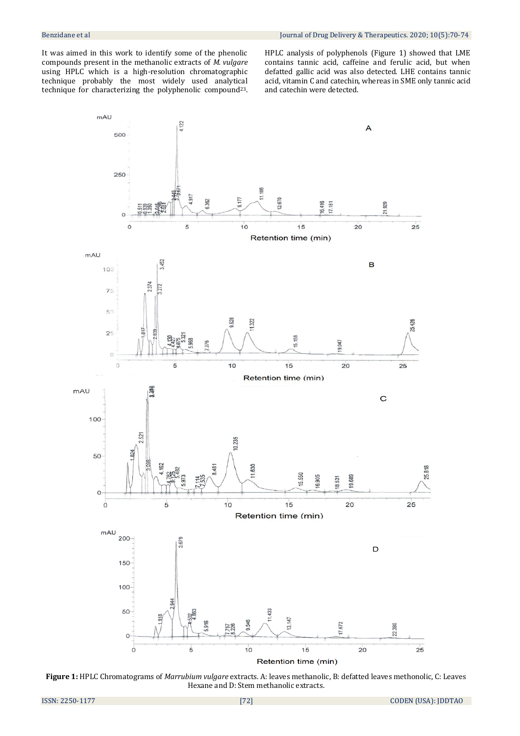It was aimed in this work to identify some of the phenolic compounds present in the methanolic extracts of *M. vulgare*  using HPLC which is a high-resolution chromatographic technique probably the most widely used analytical technique for characterizing the polyphenolic compound23.

HPLC analysis of polyphenols (Figure 1) showed that LME contains tannic acid, caffeine and ferulic acid, but when defatted gallic acid was also detected. LHE contains tannic acid, vitamin C and catechin, whereas in SME only tannic acid and catechin were detected.



**Figure 1:** HPLC Chromatograms of *Marrubium vulgare* extracts. A: leaves methanolic, B: defatted leaves methonolic, C: Leaves Hexane and D: Stem methanolic extracts.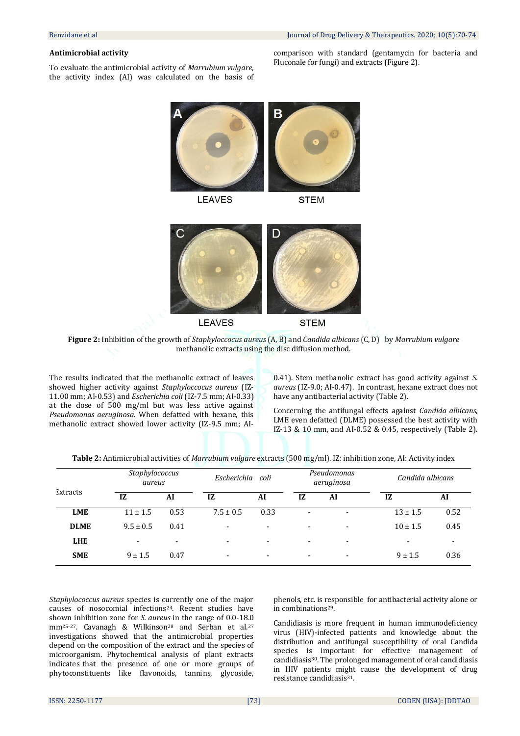#### **Antimicrobial activity**

To evaluate the antimicrobial activity of *Marrubium vulgare*, the activity index (AI) was calculated on the basis of comparison with standard (gentamycin for bacteria and Fluconale for fungi) and extracts (Figure 2).





**Figure 2:** Inhibition of the growth of *Staphyloccocus aureus* (A, B) and *Candida albicans* (C, D) by *Marrubium vulgare* methanolic extracts using the disc diffusion method.

The results indicated that the methanolic extract of leaves showed higher activity against *Staphyloccocus aureus* (IZ-11.00 mm; AI-0.53) and *Escherichia coli* (IZ-7.5 mm; AI-0.33) at the dose of 500 mg/ml but was less active against *Pseudomonas aeruginosa*. When defatted with hexane, this methanolic extract showed lower activity (IZ-9.5 mm; AI-

0.41). Stem methanolic extract has good activity against *S. aureus* (IZ-9.0; AI-0.47). In contrast, hexane extract does not have any antibacterial activity (Table 2).

Concerning the antifungal effects against *Candida albicans*, LME even defatted (DLME) possessed the best activity with IZ-13 & 10 mm, and AI-0.52 & 0.45, respectively (Table 2).

|          |   |                          | $\sim$ $\sigma$ | .    | $\cdot$ |                           | .                |
|----------|---|--------------------------|-----------------|------|---------|---------------------------|------------------|
|          |   | Staphylococcus<br>aureus | Escherichia     | coli |         | Pseudomonas<br>aeruginosa | Candida albicans |
| Extracts | œ | лі                       | L               |      |         | Al                        | Al               |

**LME** 11 ± 1.5 0.53 7.5 ± 0.5 0.33 - - 13 ± 1.5 0.52 **DLME**  $9.5 \pm 0.5$   $0.41$   $\qquad \qquad \qquad \qquad \qquad \qquad 10 \pm 1.5$   $0.45$ **LHE** - - - - - - - - **SME**  $9 \pm 1.5$   $0.47$   $9 \pm 1.5$   $0.36$ 

| Table 2: Antimicrobial activities of <i>Marrubium vulgare</i> extracts (500 mg/ml). IZ: inhibition zone, AI: Activity index |  |  |  |
|-----------------------------------------------------------------------------------------------------------------------------|--|--|--|
|-----------------------------------------------------------------------------------------------------------------------------|--|--|--|

*Staphylococcus aureus* species is currently one of the major causes of nosocomial infections24. Recent studies have shown inhibition zone for *S. aureus* in the range of 0.0-18.0 mm<sup>25-27</sup>. Cavanagh & Wilkinson<sup>28</sup> and Serban et al.<sup>27</sup> investigations showed that the antimicrobial properties depend on the composition of the extract and the species of microorganism. Phytochemical analysis of plant extracts indicates that the presence of one or more groups of phytoconstituents like flavonoids, tannins, glycoside,

phenols, etc. is responsible for antibacterial activity alone or in combinations29.

Candidiasis is more frequent in human immunodeficiency virus (HIV)-infected patients and knowledge about the distribution and antifungal susceptibility of oral Candida species is important for effective management of candidiasis30. The prolonged management of oral candidiasis in HIV patients might cause the development of drug resistance candidiasis<sup>31</sup>.